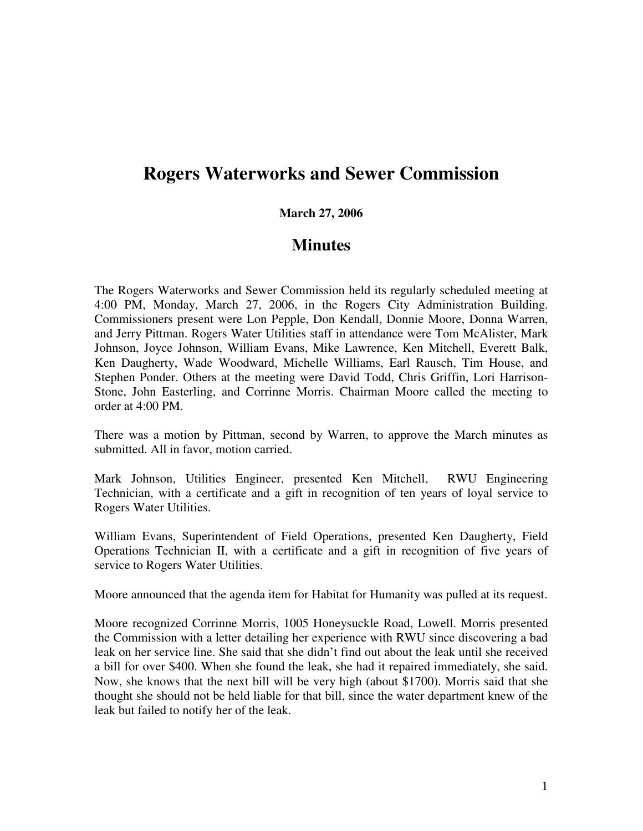## **Rogers Waterworks and Sewer Commission**

## **March 27, 2006**

## **Minutes**

The Rogers Waterworks and Sewer Commission held its regularly scheduled meeting at 4:00 PM, Monday, March 27, 2006, in the Rogers City Administration Building. Commissioners present were Lon Pepple, Don Kendall, Donnie Moore, Donna Warren, and Jerry Pittman. Rogers Water Utilities staff in attendance were Tom McAlister, Mark Johnson, Joyce Johnson, William Evans, Mike Lawrence, Ken Mitchell, Everett Balk, Ken Daugherty, Wade Woodward, Michelle Williams, Earl Rausch, Tim House, and Stephen Ponder. Others at the meeting were David Todd, Chris Griffin, Lori Harrison-Stone, John Easterling, and Corrinne Morris. Chairman Moore called the meeting to order at 4:00 PM.

There was a motion by Pittman, second by Warren, to approve the March minutes as submitted. All in favor, motion carried.

Mark Johnson, Utilities Engineer, presented Ken Mitchell, RWU Engineering Technician, with a certificate and a gift in recognition of ten years of loyal service to Rogers Water Utilities.

William Evans, Superintendent of Field Operations, presented Ken Daugherty, Field Operations Technician II, with a certificate and a gift in recognition of five years of service to Rogers Water Utilities.

Moore announced that the agenda item for Habitat for Humanity was pulled at its request.

Moore recognized Corrinne Morris, 1005 Honeysuckle Road, Lowell. Morris presented the Commission with a letter detailing her experience with RWU since discovering a bad leak on her service line. She said that she didn't find out about the leak until she received a bill for over \$400. When she found the leak, she had it repaired immediately, she said. Now, she knows that the next bill will be very high (about \$1700). Morris said that she thought she should not be held liable for that bill, since the water department knew of the leak but failed to notify her of the leak.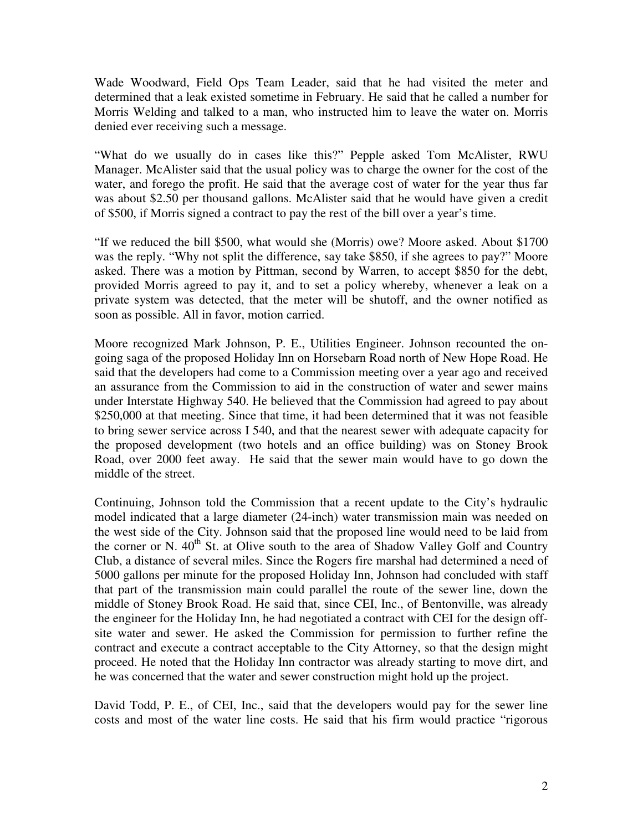Wade Woodward, Field Ops Team Leader, said that he had visited the meter and determined that a leak existed sometime in February. He said that he called a number for Morris Welding and talked to a man, who instructed him to leave the water on. Morris denied ever receiving such a message.

"What do we usually do in cases like this?" Pepple asked Tom McAlister, RWU Manager. McAlister said that the usual policy was to charge the owner for the cost of the water, and forego the profit. He said that the average cost of water for the year thus far was about \$2.50 per thousand gallons. McAlister said that he would have given a credit of \$500, if Morris signed a contract to pay the rest of the bill over a year's time.

"If we reduced the bill \$500, what would she (Morris) owe? Moore asked. About \$1700 was the reply. "Why not split the difference, say take \$850, if she agrees to pay?" Moore asked. There was a motion by Pittman, second by Warren, to accept \$850 for the debt, provided Morris agreed to pay it, and to set a policy whereby, whenever a leak on a private system was detected, that the meter will be shutoff, and the owner notified as soon as possible. All in favor, motion carried.

Moore recognized Mark Johnson, P. E., Utilities Engineer. Johnson recounted the ongoing saga of the proposed Holiday Inn on Horsebarn Road north of New Hope Road. He said that the developers had come to a Commission meeting over a year ago and received an assurance from the Commission to aid in the construction of water and sewer mains under Interstate Highway 540. He believed that the Commission had agreed to pay about \$250,000 at that meeting. Since that time, it had been determined that it was not feasible to bring sewer service across I 540, and that the nearest sewer with adequate capacity for the proposed development (two hotels and an office building) was on Stoney Brook Road, over 2000 feet away. He said that the sewer main would have to go down the middle of the street.

Continuing, Johnson told the Commission that a recent update to the City's hydraulic model indicated that a large diameter (24-inch) water transmission main was needed on the west side of the City. Johnson said that the proposed line would need to be laid from the corner or N. 40<sup>th</sup> St. at Olive south to the area of Shadow Valley Golf and Country Club, a distance of several miles. Since the Rogers fire marshal had determined a need of 5000 gallons per minute for the proposed Holiday Inn, Johnson had concluded with staff that part of the transmission main could parallel the route of the sewer line, down the middle of Stoney Brook Road. He said that, since CEI, Inc., of Bentonville, was already the engineer for the Holiday Inn, he had negotiated a contract with CEI for the design offsite water and sewer. He asked the Commission for permission to further refine the contract and execute a contract acceptable to the City Attorney, so that the design might proceed. He noted that the Holiday Inn contractor was already starting to move dirt, and he was concerned that the water and sewer construction might hold up the project.

David Todd, P. E., of CEI, Inc., said that the developers would pay for the sewer line costs and most of the water line costs. He said that his firm would practice "rigorous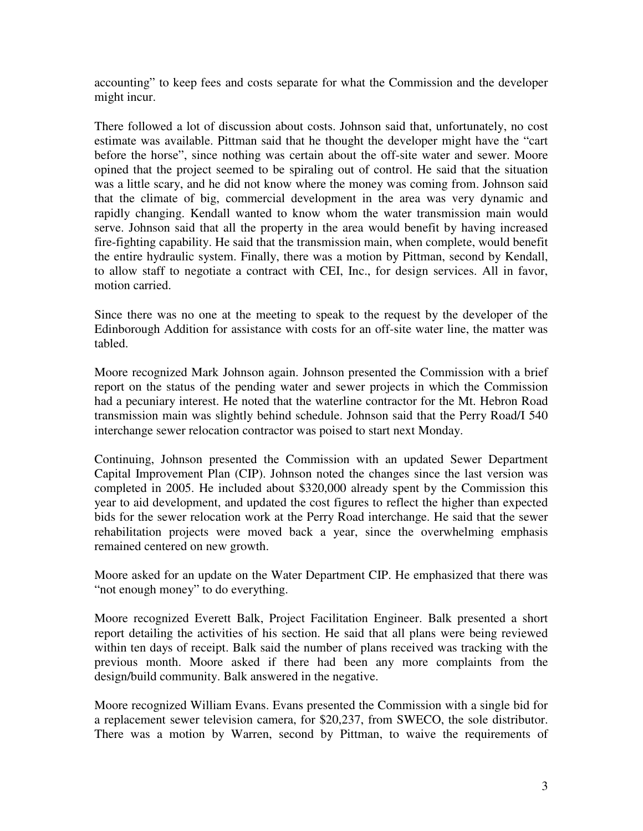accounting" to keep fees and costs separate for what the Commission and the developer might incur.

There followed a lot of discussion about costs. Johnson said that, unfortunately, no cost estimate was available. Pittman said that he thought the developer might have the "cart before the horse", since nothing was certain about the off-site water and sewer. Moore opined that the project seemed to be spiraling out of control. He said that the situation was a little scary, and he did not know where the money was coming from. Johnson said that the climate of big, commercial development in the area was very dynamic and rapidly changing. Kendall wanted to know whom the water transmission main would serve. Johnson said that all the property in the area would benefit by having increased fire-fighting capability. He said that the transmission main, when complete, would benefit the entire hydraulic system. Finally, there was a motion by Pittman, second by Kendall, to allow staff to negotiate a contract with CEI, Inc., for design services. All in favor, motion carried.

Since there was no one at the meeting to speak to the request by the developer of the Edinborough Addition for assistance with costs for an off-site water line, the matter was tabled.

Moore recognized Mark Johnson again. Johnson presented the Commission with a brief report on the status of the pending water and sewer projects in which the Commission had a pecuniary interest. He noted that the waterline contractor for the Mt. Hebron Road transmission main was slightly behind schedule. Johnson said that the Perry Road/I 540 interchange sewer relocation contractor was poised to start next Monday.

Continuing, Johnson presented the Commission with an updated Sewer Department Capital Improvement Plan (CIP). Johnson noted the changes since the last version was completed in 2005. He included about \$320,000 already spent by the Commission this year to aid development, and updated the cost figures to reflect the higher than expected bids for the sewer relocation work at the Perry Road interchange. He said that the sewer rehabilitation projects were moved back a year, since the overwhelming emphasis remained centered on new growth.

Moore asked for an update on the Water Department CIP. He emphasized that there was "not enough money" to do everything.

Moore recognized Everett Balk, Project Facilitation Engineer. Balk presented a short report detailing the activities of his section. He said that all plans were being reviewed within ten days of receipt. Balk said the number of plans received was tracking with the previous month. Moore asked if there had been any more complaints from the design/build community. Balk answered in the negative.

Moore recognized William Evans. Evans presented the Commission with a single bid for a replacement sewer television camera, for \$20,237, from SWECO, the sole distributor. There was a motion by Warren, second by Pittman, to waive the requirements of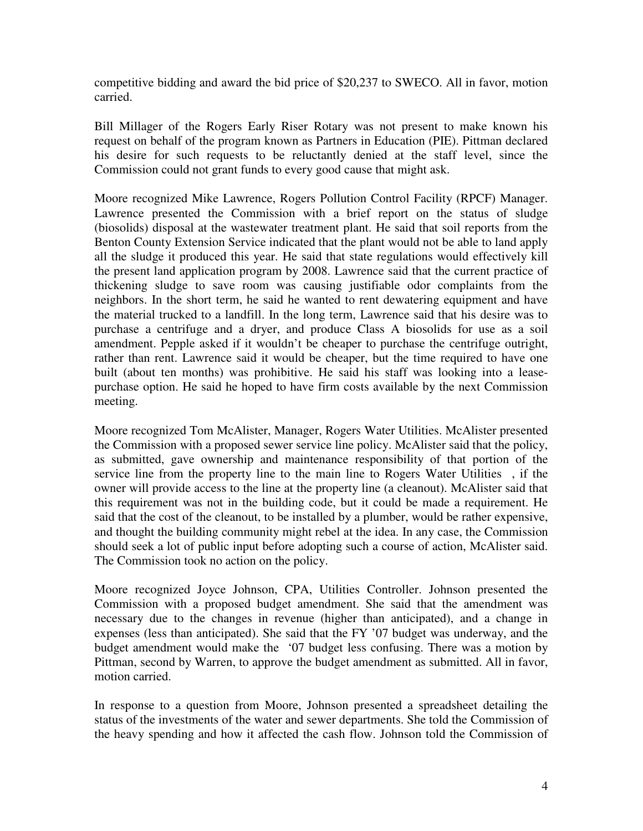competitive bidding and award the bid price of \$20,237 to SWECO. All in favor, motion carried.

Bill Millager of the Rogers Early Riser Rotary was not present to make known his request on behalf of the program known as Partners in Education (PIE). Pittman declared his desire for such requests to be reluctantly denied at the staff level, since the Commission could not grant funds to every good cause that might ask.

Moore recognized Mike Lawrence, Rogers Pollution Control Facility (RPCF) Manager. Lawrence presented the Commission with a brief report on the status of sludge (biosolids) disposal at the wastewater treatment plant. He said that soil reports from the Benton County Extension Service indicated that the plant would not be able to land apply all the sludge it produced this year. He said that state regulations would effectively kill the present land application program by 2008. Lawrence said that the current practice of thickening sludge to save room was causing justifiable odor complaints from the neighbors. In the short term, he said he wanted to rent dewatering equipment and have the material trucked to a landfill. In the long term, Lawrence said that his desire was to purchase a centrifuge and a dryer, and produce Class A biosolids for use as a soil amendment. Pepple asked if it wouldn't be cheaper to purchase the centrifuge outright, rather than rent. Lawrence said it would be cheaper, but the time required to have one built (about ten months) was prohibitive. He said his staff was looking into a leasepurchase option. He said he hoped to have firm costs available by the next Commission meeting.

Moore recognized Tom McAlister, Manager, Rogers Water Utilities. McAlister presented the Commission with a proposed sewer service line policy. McAlister said that the policy, as submitted, gave ownership and maintenance responsibility of that portion of the service line from the property line to the main line to Rogers Water Utilities , if the owner will provide access to the line at the property line (a cleanout). McAlister said that this requirement was not in the building code, but it could be made a requirement. He said that the cost of the cleanout, to be installed by a plumber, would be rather expensive, and thought the building community might rebel at the idea. In any case, the Commission should seek a lot of public input before adopting such a course of action, McAlister said. The Commission took no action on the policy.

Moore recognized Joyce Johnson, CPA, Utilities Controller. Johnson presented the Commission with a proposed budget amendment. She said that the amendment was necessary due to the changes in revenue (higher than anticipated), and a change in expenses (less than anticipated). She said that the FY '07 budget was underway, and the budget amendment would make the '07 budget less confusing. There was a motion by Pittman, second by Warren, to approve the budget amendment as submitted. All in favor, motion carried.

In response to a question from Moore, Johnson presented a spreadsheet detailing the status of the investments of the water and sewer departments. She told the Commission of the heavy spending and how it affected the cash flow. Johnson told the Commission of